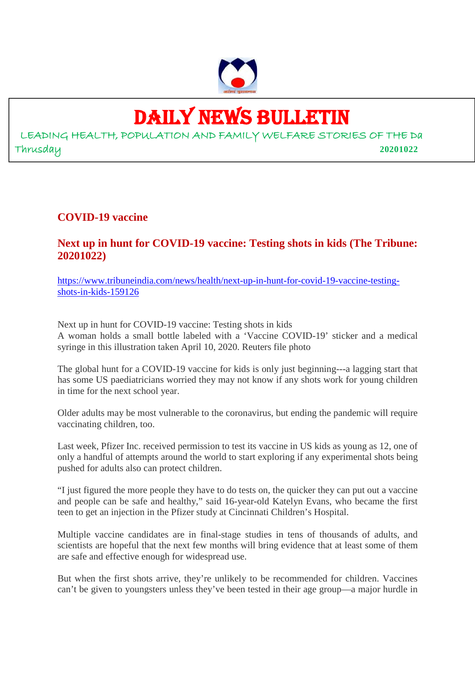

# DAILY NEWS BULLETIN

LEADING HEALTH, POPULATION AND FAMILY WELFARE STORIES OF THE Da Thrusday **20201022**

#### **COVID-19 vaccine**

#### **Next up in hunt for COVID-19 vaccine: Testing shots in kids (The Tribune: 20201022)**

https://www.tribuneindia.com/news/health/next-up-in-hunt-for-covid-19-vaccine-testingshots-in-kids-159126

Next up in hunt for COVID-19 vaccine: Testing shots in kids A woman holds a small bottle labeled with a 'Vaccine COVID-19' sticker and a medical syringe in this illustration taken April 10, 2020. Reuters file photo

The global hunt for a COVID-19 vaccine for kids is only just beginning---a lagging start that has some US paediatricians worried they may not know if any shots work for young children in time for the next school year.

Older adults may be most vulnerable to the coronavirus, but ending the pandemic will require vaccinating children, too.

Last week, Pfizer Inc. received permission to test its vaccine in US kids as young as 12, one of only a handful of attempts around the world to start exploring if any experimental shots being pushed for adults also can protect children.

"I just figured the more people they have to do tests on, the quicker they can put out a vaccine and people can be safe and healthy," said 16-year-old Katelyn Evans, who became the first teen to get an injection in the Pfizer study at Cincinnati Children's Hospital.

Multiple vaccine candidates are in final-stage studies in tens of thousands of adults, and scientists are hopeful that the next few months will bring evidence that at least some of them are safe and effective enough for widespread use.

But when the first shots arrive, they're unlikely to be recommended for children. Vaccines can't be given to youngsters unless they've been tested in their age group—a major hurdle in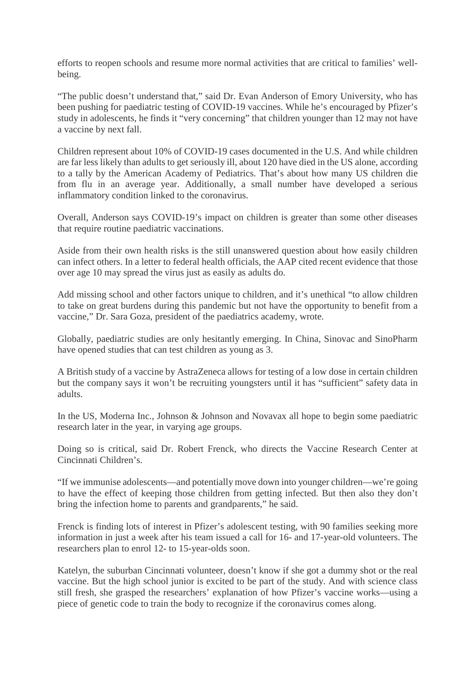efforts to reopen schools and resume more normal activities that are critical to families' wellbeing.

"The public doesn't understand that," said Dr. Evan Anderson of Emory University, who has been pushing for paediatric testing of COVID-19 vaccines. While he's encouraged by Pfizer's study in adolescents, he finds it "very concerning" that children younger than 12 may not have a vaccine by next fall.

Children represent about 10% of COVID-19 cases documented in the U.S. And while children are far less likely than adults to get seriously ill, about 120 have died in the US alone, according to a tally by the American Academy of Pediatrics. That's about how many US children die from flu in an average year. Additionally, a small number have developed a serious inflammatory condition linked to the coronavirus.

Overall, Anderson says COVID-19's impact on children is greater than some other diseases that require routine paediatric vaccinations.

Aside from their own health risks is the still unanswered question about how easily children can infect others. In a letter to federal health officials, the AAP cited recent evidence that those over age 10 may spread the virus just as easily as adults do.

Add missing school and other factors unique to children, and it's unethical "to allow children to take on great burdens during this pandemic but not have the opportunity to benefit from a vaccine," Dr. Sara Goza, president of the paediatrics academy, wrote.

Globally, paediatric studies are only hesitantly emerging. In China, Sinovac and SinoPharm have opened studies that can test children as young as 3.

A British study of a vaccine by AstraZeneca allows for testing of a low dose in certain children but the company says it won't be recruiting youngsters until it has "sufficient" safety data in adults.

In the US, Moderna Inc., Johnson & Johnson and Novavax all hope to begin some paediatric research later in the year, in varying age groups.

Doing so is critical, said Dr. Robert Frenck, who directs the Vaccine Research Center at Cincinnati Children's.

"If we immunise adolescents—and potentially move down into younger children—we're going to have the effect of keeping those children from getting infected. But then also they don't bring the infection home to parents and grandparents," he said.

Frenck is finding lots of interest in Pfizer's adolescent testing, with 90 families seeking more information in just a week after his team issued a call for 16- and 17-year-old volunteers. The researchers plan to enrol 12- to 15-year-olds soon.

Katelyn, the suburban Cincinnati volunteer, doesn't know if she got a dummy shot or the real vaccine. But the high school junior is excited to be part of the study. And with science class still fresh, she grasped the researchers' explanation of how Pfizer's vaccine works—using a piece of genetic code to train the body to recognize if the coronavirus comes along.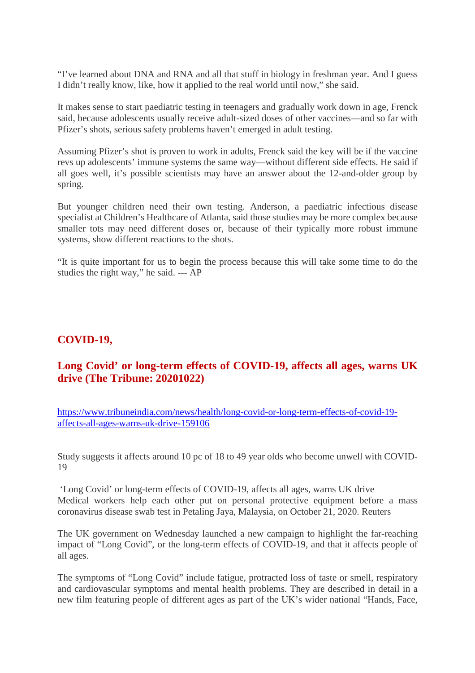"I've learned about DNA and RNA and all that stuff in biology in freshman year. And I guess I didn't really know, like, how it applied to the real world until now," she said.

It makes sense to start paediatric testing in teenagers and gradually work down in age, Frenck said, because adolescents usually receive adult-sized doses of other vaccines—and so far with Pfizer's shots, serious safety problems haven't emerged in adult testing.

Assuming Pfizer's shot is proven to work in adults, Frenck said the key will be if the vaccine revs up adolescents' immune systems the same way—without different side effects. He said if all goes well, it's possible scientists may have an answer about the 12-and-older group by spring.

But younger children need their own testing. Anderson, a paediatric infectious disease specialist at Children's Healthcare of Atlanta, said those studies may be more complex because smaller tots may need different doses or, because of their typically more robust immune systems, show different reactions to the shots.

"It is quite important for us to begin the process because this will take some time to do the studies the right way," he said. --- AP

#### **COVID-19,**

#### **Long Covid' or long-term effects of COVID-19, affects all ages, warns UK drive (The Tribune: 20201022)**

https://www.tribuneindia.com/news/health/long-covid-or-long-term-effects-of-covid-19 affects-all-ages-warns-uk-drive-159106

Study suggests it affects around 10 pc of 18 to 49 year olds who become unwell with COVID-19

'Long Covid' or long-term effects of COVID-19, affects all ages, warns UK drive Medical workers help each other put on personal protective equipment before a mass coronavirus disease swab test in Petaling Jaya, Malaysia, on October 21, 2020. Reuters

The UK government on Wednesday launched a new campaign to highlight the far-reaching impact of "Long Covid", or the long-term effects of COVID-19, and that it affects people of all ages.

The symptoms of "Long Covid" include fatigue, protracted loss of taste or smell, respiratory and cardiovascular symptoms and mental health problems. They are described in detail in a new film featuring people of different ages as part of the UK's wider national "Hands, Face,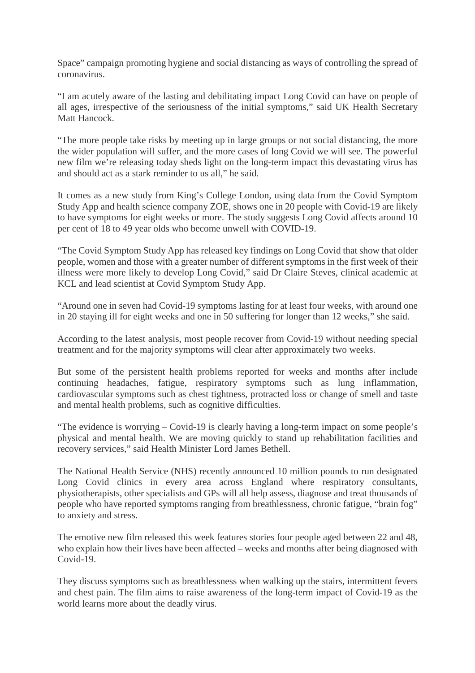Space" campaign promoting hygiene and social distancing as ways of controlling the spread of coronavirus.

"I am acutely aware of the lasting and debilitating impact Long Covid can have on people of all ages, irrespective of the seriousness of the initial symptoms," said UK Health Secretary Matt Hancock.

"The more people take risks by meeting up in large groups or not social distancing, the more the wider population will suffer, and the more cases of long Covid we will see. The powerful new film we're releasing today sheds light on the long-term impact this devastating virus has and should act as a stark reminder to us all," he said.

It comes as a new study from King's College London, using data from the Covid Symptom Study App and health science company ZOE, shows one in 20 people with Covid-19 are likely to have symptoms for eight weeks or more. The study suggests Long Covid affects around 10 per cent of 18 to 49 year olds who become unwell with COVID-19.

"The Covid Symptom Study App has released key findings on Long Covid that show that older people, women and those with a greater number of different symptoms in the first week of their illness were more likely to develop Long Covid," said Dr Claire Steves, clinical academic at KCL and lead scientist at Covid Symptom Study App.

"Around one in seven had Covid-19 symptoms lasting for at least four weeks, with around one in 20 staying ill for eight weeks and one in 50 suffering for longer than 12 weeks," she said.

According to the latest analysis, most people recover from Covid-19 without needing special treatment and for the majority symptoms will clear after approximately two weeks.

But some of the persistent health problems reported for weeks and months after include continuing headaches, fatigue, respiratory symptoms such as lung inflammation, cardiovascular symptoms such as chest tightness, protracted loss or change of smell and taste and mental health problems, such as cognitive difficulties.

"The evidence is worrying – Covid-19 is clearly having a long-term impact on some people's physical and mental health. We are moving quickly to stand up rehabilitation facilities and recovery services," said Health Minister Lord James Bethell.

The National Health Service (NHS) recently announced 10 million pounds to run designated Long Covid clinics in every area across England where respiratory consultants, physiotherapists, other specialists and GPs will all help assess, diagnose and treat thousands of people who have reported symptoms ranging from breathlessness, chronic fatigue, "brain fog" to anxiety and stress.

The emotive new film released this week features stories four people aged between 22 and 48, who explain how their lives have been affected – weeks and months after being diagnosed with Covid-19.

They discuss symptoms such as breathlessness when walking up the stairs, intermittent fevers and chest pain. The film aims to raise awareness of the long-term impact of Covid-19 as the world learns more about the deadly virus.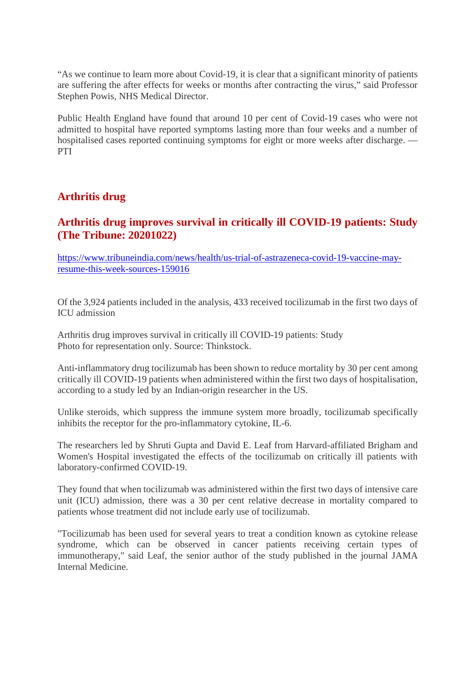"As we continue to learn more about Covid-19, it is clear that a significant minority of patients are suffering the after effects for weeks or months after contracting the virus," said Professor Stephen Powis, NHS Medical Director.

Public Health England have found that around 10 per cent of Covid-19 cases who were not admitted to hospital have reported symptoms lasting more than four weeks and a number of hospitalised cases reported continuing symptoms for eight or more weeks after discharge. — PTI

#### **Arthritis drug**

#### **Arthritis drug improves survival in critically ill COVID-19 patients: Study (The Tribune: 20201022)**

https://www.tribuneindia.com/news/health/us-trial-of-astrazeneca-covid-19-vaccine-mayresume-this-week-sources-159016

Of the 3,924 patients included in the analysis, 433 received tocilizumab in the first two days of ICU admission

Arthritis drug improves survival in critically ill COVID-19 patients: Study Photo for representation only. Source: Thinkstock.

Anti-inflammatory drug tocilizumab has been shown to reduce mortality by 30 per cent among critically ill COVID-19 patients when administered within the first two days of hospitalisation, according to a study led by an Indian-origin researcher in the US.

Unlike steroids, which suppress the immune system more broadly, tocilizumab specifically inhibits the receptor for the pro-inflammatory cytokine, IL-6.

The researchers led by Shruti Gupta and David E. Leaf from Harvard-affiliated Brigham and Women's Hospital investigated the effects of the tocilizumab on critically ill patients with laboratory-confirmed COVID-19.

They found that when tocilizumab was administered within the first two days of intensive care unit (ICU) admission, there was a 30 per cent relative decrease in mortality compared to patients whose treatment did not include early use of tocilizumab.

"Tocilizumab has been used for several years to treat a condition known as cytokine release syndrome, which can be observed in cancer patients receiving certain types of immunotherapy," said Leaf, the senior author of the study published in the journal JAMA Internal Medicine.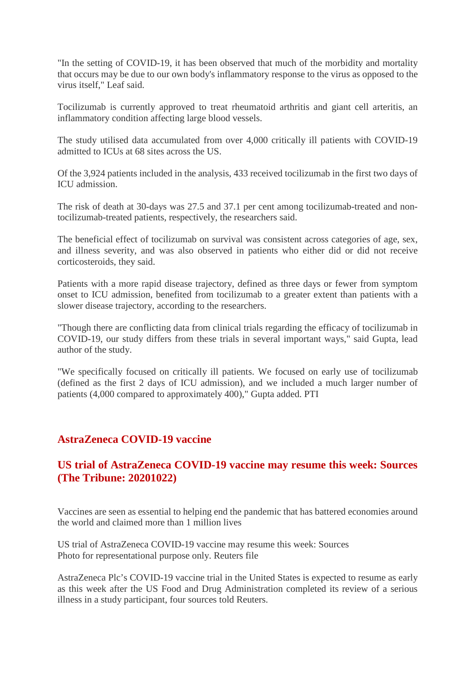"In the setting of COVID-19, it has been observed that much of the morbidity and mortality that occurs may be due to our own body's inflammatory response to the virus as opposed to the virus itself," Leaf said.

Tocilizumab is currently approved to treat rheumatoid arthritis and giant cell arteritis, an inflammatory condition affecting large blood vessels.

The study utilised data accumulated from over 4,000 critically ill patients with COVID-19 admitted to ICUs at 68 sites across the US.

Of the 3,924 patients included in the analysis, 433 received tocilizumab in the first two days of ICU admission.

The risk of death at 30-days was 27.5 and 37.1 per cent among tocilizumab-treated and nontocilizumab-treated patients, respectively, the researchers said.

The beneficial effect of tocilizumab on survival was consistent across categories of age, sex, and illness severity, and was also observed in patients who either did or did not receive corticosteroids, they said.

Patients with a more rapid disease trajectory, defined as three days or fewer from symptom onset to ICU admission, benefited from tocilizumab to a greater extent than patients with a slower disease trajectory, according to the researchers.

"Though there are conflicting data from clinical trials regarding the efficacy of tocilizumab in COVID-19, our study differs from these trials in several important ways," said Gupta, lead author of the study.

"We specifically focused on critically ill patients. We focused on early use of tocilizumab (defined as the first 2 days of ICU admission), and we included a much larger number of patients (4,000 compared to approximately 400)," Gupta added. PTI

#### **AstraZeneca COVID-19 vaccine**

#### **US trial of AstraZeneca COVID-19 vaccine may resume this week: Sources (The Tribune: 20201022)**

Vaccines are seen as essential to helping end the pandemic that has battered economies around the world and claimed more than 1 million lives

US trial of AstraZeneca COVID-19 vaccine may resume this week: Sources Photo for representational purpose only. Reuters file

AstraZeneca Plc's COVID-19 vaccine trial in the United States is expected to resume as early as this week after the US Food and Drug Administration completed its review of a serious illness in a study participant, four sources told Reuters.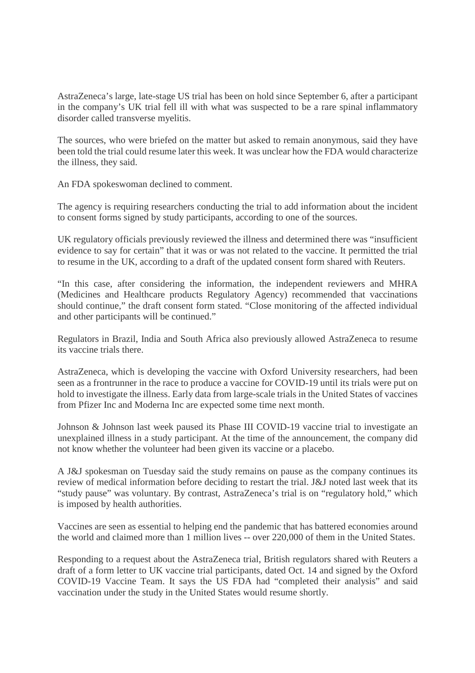AstraZeneca's large, late-stage US trial has been on hold since September 6, after a participant in the company's UK trial fell ill with what was suspected to be a rare spinal inflammatory disorder called transverse myelitis.

The sources, who were briefed on the matter but asked to remain anonymous, said they have been told the trial could resume later this week. It was unclear how the FDA would characterize the illness, they said.

An FDA spokeswoman declined to comment.

The agency is requiring researchers conducting the trial to add information about the incident to consent forms signed by study participants, according to one of the sources.

UK regulatory officials previously reviewed the illness and determined there was "insufficient evidence to say for certain" that it was or was not related to the vaccine. It permitted the trial to resume in the UK, according to a draft of the updated consent form shared with Reuters.

"In this case, after considering the information, the independent reviewers and MHRA (Medicines and Healthcare products Regulatory Agency) recommended that vaccinations should continue," the draft consent form stated. "Close monitoring of the affected individual and other participants will be continued."

Regulators in Brazil, India and South Africa also previously allowed AstraZeneca to resume its vaccine trials there.

AstraZeneca, which is developing the vaccine with Oxford University researchers, had been seen as a frontrunner in the race to produce a vaccine for COVID-19 until its trials were put on hold to investigate the illness. Early data from large-scale trials in the United States of vaccines from Pfizer Inc and Moderna Inc are expected some time next month.

Johnson & Johnson last week paused its Phase III COVID-19 vaccine trial to investigate an unexplained illness in a study participant. At the time of the announcement, the company did not know whether the volunteer had been given its vaccine or a placebo.

A J&J spokesman on Tuesday said the study remains on pause as the company continues its review of medical information before deciding to restart the trial. J&J noted last week that its "study pause" was voluntary. By contrast, AstraZeneca's trial is on "regulatory hold," which is imposed by health authorities.

Vaccines are seen as essential to helping end the pandemic that has battered economies around the world and claimed more than 1 million lives -- over 220,000 of them in the United States.

Responding to a request about the AstraZeneca trial, British regulators shared with Reuters a draft of a form letter to UK vaccine trial participants, dated Oct. 14 and signed by the Oxford COVID-19 Vaccine Team. It says the US FDA had "completed their analysis" and said vaccination under the study in the United States would resume shortly.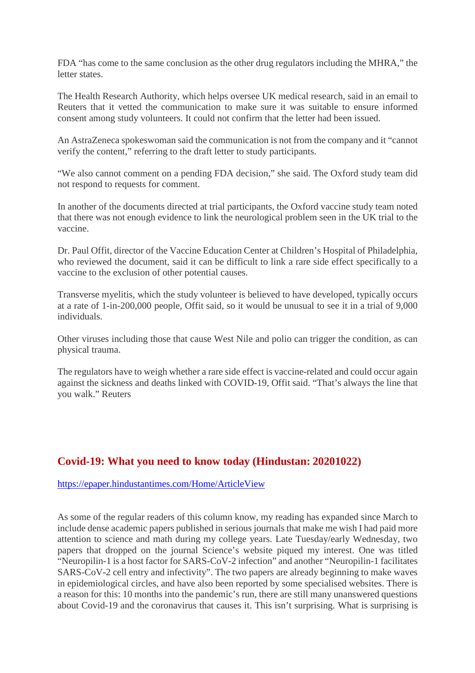FDA "has come to the same conclusion as the other drug regulators including the MHRA," the letter states.

The Health Research Authority, which helps oversee UK medical research, said in an email to Reuters that it vetted the communication to make sure it was suitable to ensure informed consent among study volunteers. It could not confirm that the letter had been issued.

An AstraZeneca spokeswoman said the communication is not from the company and it "cannot verify the content," referring to the draft letter to study participants.

"We also cannot comment on a pending FDA decision," she said. The Oxford study team did not respond to requests for comment.

In another of the documents directed at trial participants, the Oxford vaccine study team noted that there was not enough evidence to link the neurological problem seen in the UK trial to the vaccine.

Dr. Paul Offit, director of the Vaccine Education Center at Children's Hospital of Philadelphia, who reviewed the document, said it can be difficult to link a rare side effect specifically to a vaccine to the exclusion of other potential causes.

Transverse myelitis, which the study volunteer is believed to have developed, typically occurs at a rate of 1-in-200,000 people, Offit said, so it would be unusual to see it in a trial of 9,000 individuals.

Other viruses including those that cause West Nile and polio can trigger the condition, as can physical trauma.

The regulators have to weigh whether a rare side effect is vaccine-related and could occur again against the sickness and deaths linked with COVID-19, Offit said. "That's always the line that you walk." Reuters

#### **Covid-19: What you need to know today (Hindustan: 20201022)**

https://epaper.hindustantimes.com/Home/ArticleView

As some of the regular readers of this column know, my reading has expanded since March to include dense academic papers published in serious journals that make me wish I had paid more attention to science and math during my college years. Late Tuesday/early Wednesday, two papers that dropped on the journal Science's website piqued my interest. One was titled "Neuropilin-1 is a host factor for SARS-CoV-2 infection" and another "Neuropilin-1 facilitates SARS-CoV-2 cell entry and infectivity". The two papers are already beginning to make waves in epidemiological circles, and have also been reported by some specialised websites. There is a reason for this: 10 months into the pandemic's run, there are still many unanswered questions about Covid-19 and the coronavirus that causes it. This isn't surprising. What is surprising is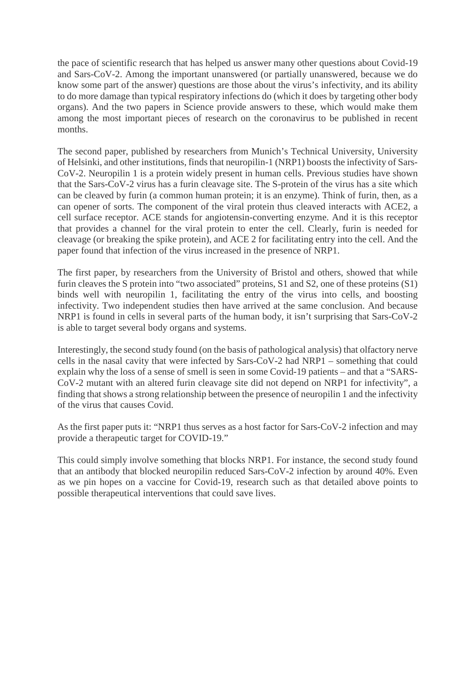the pace of scientific research that has helped us answer many other questions about Covid-19 and Sars-CoV-2. Among the important unanswered (or partially unanswered, because we do know some part of the answer) questions are those about the virus's infectivity, and its ability to do more damage than typical respiratory infections do (which it does by targeting other body organs). And the two papers in Science provide answers to these, which would make them among the most important pieces of research on the coronavirus to be published in recent months.

The second paper, published by researchers from Munich's Technical University, University of Helsinki, and other institutions, finds that neuropilin-1 (NRP1) boosts the infectivity of Sars-CoV-2. Neuropilin 1 is a protein widely present in human cells. Previous studies have shown that the Sars-CoV-2 virus has a furin cleavage site. The S-protein of the virus has a site which can be cleaved by furin (a common human protein; it is an enzyme). Think of furin, then, as a can opener of sorts. The component of the viral protein thus cleaved interacts with ACE2, a cell surface receptor. ACE stands for angiotensin-converting enzyme. And it is this receptor that provides a channel for the viral protein to enter the cell. Clearly, furin is needed for cleavage (or breaking the spike protein), and ACE 2 for facilitating entry into the cell. And the paper found that infection of the virus increased in the presence of NRP1.

The first paper, by researchers from the University of Bristol and others, showed that while furin cleaves the S protein into "two associated" proteins, S1 and S2, one of these proteins (S1) binds well with neuropilin 1, facilitating the entry of the virus into cells, and boosting infectivity. Two independent studies then have arrived at the same conclusion. And because NRP1 is found in cells in several parts of the human body, it isn't surprising that Sars-CoV-2 is able to target several body organs and systems.

Interestingly, the second study found (on the basis of pathological analysis) that olfactory nerve cells in the nasal cavity that were infected by Sars-CoV-2 had NRP1 – something that could explain why the loss of a sense of smell is seen in some Covid-19 patients – and that a "SARS-CoV-2 mutant with an altered furin cleavage site did not depend on NRP1 for infectivity", a finding that shows a strong relationship between the presence of neuropilin 1 and the infectivity of the virus that causes Covid.

As the first paper puts it: "NRP1 thus serves as a host factor for Sars-CoV-2 infection and may provide a therapeutic target for COVID-19."

This could simply involve something that blocks NRP1. For instance, the second study found that an antibody that blocked neuropilin reduced Sars-CoV-2 infection by around 40%. Even as we pin hopes on a vaccine for Covid-19, research such as that detailed above points to possible therapeutical interventions that could save lives.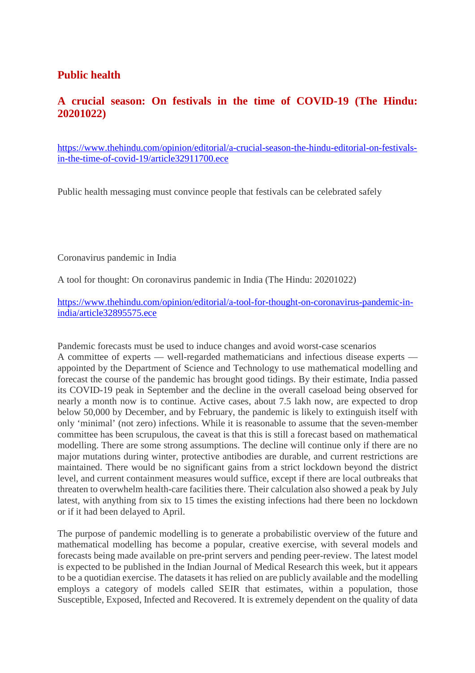#### **Public health**

#### **A crucial season: On festivals in the time of COVID-19 (The Hindu: 20201022)**

https://www.thehindu.com/opinion/editorial/a-crucial-season-the-hindu-editorial-on-festivalsin-the-time-of-covid-19/article32911700.ece

Public health messaging must convince people that festivals can be celebrated safely

Coronavirus pandemic in India

A tool for thought: On coronavirus pandemic in India (The Hindu: 20201022)

https://www.thehindu.com/opinion/editorial/a-tool-for-thought-on-coronavirus-pandemic-inindia/article32895575.ece

Pandemic forecasts must be used to induce changes and avoid worst-case scenarios A committee of experts — well-regarded mathematicians and infectious disease experts appointed by the Department of Science and Technology to use mathematical modelling and forecast the course of the pandemic has brought good tidings. By their estimate, India passed its COVID-19 peak in September and the decline in the overall caseload being observed for nearly a month now is to continue. Active cases, about 7.5 lakh now, are expected to drop below 50,000 by December, and by February, the pandemic is likely to extinguish itself with only 'minimal' (not zero) infections. While it is reasonable to assume that the seven-member committee has been scrupulous, the caveat is that this is still a forecast based on mathematical modelling. There are some strong assumptions. The decline will continue only if there are no major mutations during winter, protective antibodies are durable, and current restrictions are maintained. There would be no significant gains from a strict lockdown beyond the district level, and current containment measures would suffice, except if there are local outbreaks that threaten to overwhelm health-care facilities there. Their calculation also showed a peak by July latest, with anything from six to 15 times the existing infections had there been no lockdown or if it had been delayed to April.

The purpose of pandemic modelling is to generate a probabilistic overview of the future and mathematical modelling has become a popular, creative exercise, with several models and forecasts being made available on pre-print servers and pending peer-review. The latest model is expected to be published in the Indian Journal of Medical Research this week, but it appears to be a quotidian exercise. The datasets it has relied on are publicly available and the modelling employs a category of models called SEIR that estimates, within a population, those Susceptible, Exposed, Infected and Recovered. It is extremely dependent on the quality of data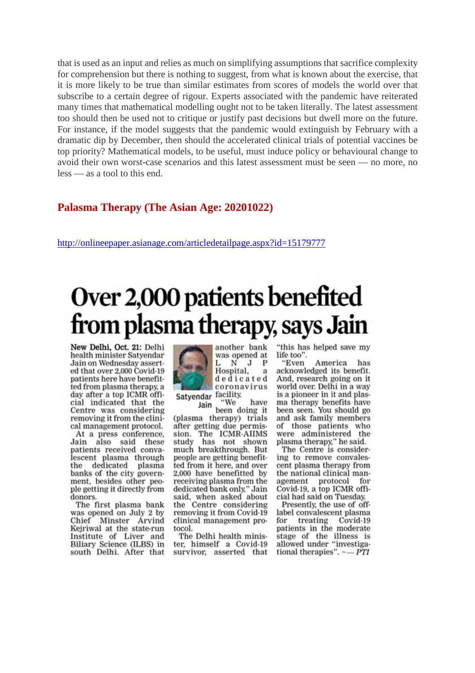that is used as an input and relies as much on simplifying assumptions that sacrifice complexity for comprehension but there is nothing to suggest, from what is known about the exercise, that it is more likely to be true than similar estimates from scores of models the world over that subscribe to a certain degree of rigour. Experts associated with the pandemic have reiterated many times that mathematical modelling ought not to be taken literally. The latest assessment too should then be used not to critique or justify past decisions but dwell more on the future. For instance, if the model suggests that the pandemic would extinguish by February with a dramatic dip by December, then should the accelerated clinical trials of potential vaccines be top priority? Mathematical models, to be useful, must induce policy or behavioural change to avoid their own worst-case scenarios and this latest assessment must be seen — no more, no less — as a tool to this end.

#### **Palasma Therapy (The Asian Age: 20201022)**

http://onlineepaper.asianage.com/articledetailpage.aspx?id=15179777

# Over 2,000 patients benefited from plasma therapy, says Jain

New Delhi, Oct. 21: Delhi health minister Satvendar Jain on Wednesday asserted that over 2,000 Covid-19 patients here have benefitted from plasma therapy, a day after a top ICMR official indicated that the Centre was considering removing it from the clinical management protocol.

At a press conference, Jain also said these patients received convalescent plasma through dedicated plasma the banks of the city government, besides other people getting it directly from donors.

The first plasma bank was opened on July 2 by Chief Minster Arvind Kejriwal at the state-run Institute of Liver and Biliary Science (ILBS) in south Delhi. After that



another bank was opened at L N J P Hospital,  $\mathbf{a}$ dedicated coronavirus Satyendar facility.

"We have Jain been doing it

(plasma therapy) trials after getting due permission. The ICMR-AIIMS study has not shown much breakthrough. But people are getting benefitted from it here, and over 2,000 have benefitted by receiving plasma from the dedicated bank only," Jain said, when asked about the Centre considering removing it from Covid-19 clinical management protocol.

The Delhi health minister, himself a Covid-19 survivor, asserted that

"this has helped save my life too".

"Even America has acknowledged its benefit. And, research going on it world over. Delhi in a way is a pioneer in it and plasma therapy benefits have been seen. You should go and ask family members of those patients who<br>were administered the plasma therapy," he said.

The Centre is considering to remove convalescent plasma therapy from the national clinical management protocol for Covid-19, a top ICMR official had said on Tuesday.

Presently, the use of offlabel convalescent plasma for treating Covid-19 patients in the moderate stage of the illness is allowed under "investigational therapies".  $\sim$  -  $PTI$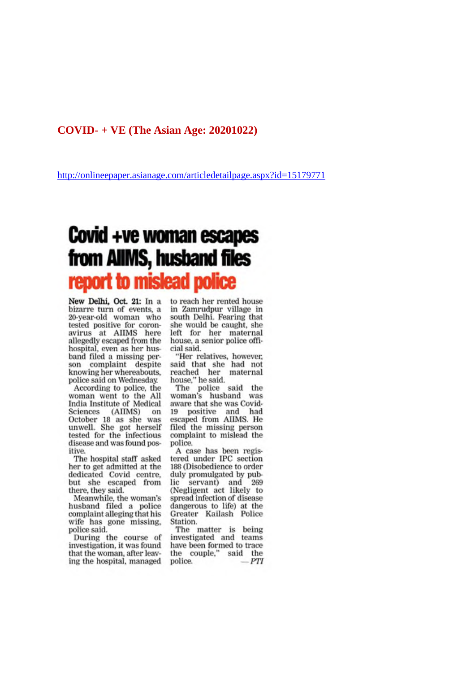#### **COVID- + VE (The Asian Age: 20201022)**

http://onlineepaper.asianage.com/articledetailpage.aspx?id=15179771

### Covid +ve woman escapes from AllMS, husband files report to mislead police

New Delhi, Oct. 21: In a bizarre turn of events, a 20-year-old woman who tested positive for coronavirus at AIIMS here allegedly escaped from the hospital, even as her husband filed a missing person complaint despite knowing her whereabouts, police said on Wednesday.

According to police, the woman went to the All India Institute of Medical Sciences (AIIMS) on October 18 as she was unwell. She got herself tested for the infectious disease and was found positive.

The hospital staff asked her to get admitted at the dedicated Covid centre, but she escaped from there, they said.

Meanwhile, the woman's husband filed a police complaint alleging that his wife has gone missing. police said.

During the course of investigation, it was found that the woman, after leaving the hospital, managed

to reach her rented house in Zamrudpur village in south Delhi. Fearing that she would be caught, she left for her maternal house, a senior police official said.

"Her relatives, however, said that she had not reached her maternal<br>house," he said.

The police said the woman's husband was aware that she was Covid-19 positive and had escaped from AIIMS. He filed the missing person complaint to mislead the police.

A case has been registered under IPC section 188 (Disobedience to order duly promulgated by public servant) and 269 (Negligent act likely to spread infection of disease dangerous to life) at the Greater Kailash Police Station.

The matter is being investigated and teams have been formed to trace the couple," said the police. - PTI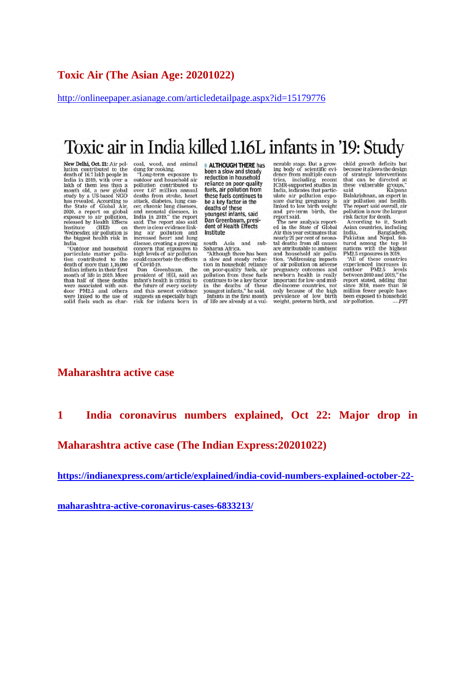#### **Toxic Air (The Asian Age: 20201022)**

http://onlineepaper.asianage.com/articledetailpage.aspx?id=15179776

### Toxic air in India killed 1.16L infants in '19: Study

New Delhi, Oct. 21: Air pollution contributed to the death of 16.7 lakh people in India in 2019, with over a lakh of them less than  $\frac{3}{4}$ lakh of them less than a<br>month old, a new global<br>study by a US-based NGO<br>has revealed. According to<br>the State of Global Air,<br>2020, a report on global exposure to air pollution,<br>released by Health Effects Institute (HEI) on<br>Wednesday, air pollution is<br>the biggest health risk in India

ndia.<br>"Outdoor and household<br>particulate matter pollu-<br>tion\_contributed\_to\_the death of more than 1,16,000<br>Indian infants in their first month of life in 2019. More<br>than half of these deaths were associated with out-<br>door PM2.5 and others<br>were linked to the use of<br>solid fuels such as charcoal, wood, and animal<br>dung for cooking.

"Long-term exposure to<br>outdoor and household air outdoor and household air<br>pollution contributed to<br>over 1.67 million annual<br>deaths from stroke, heart<br>attack, diabetes, lung can-<br>attack, diabetes, lung can-<br>cer, chronic lung diseases, in<br>local diseases, in<br>local in 2019, ing air pollution and<br>increased heart and lung disease, creating a growing disease, creating a growing<br>concern that exposures to<br>high levels of air pollution<br>could exacerbate the effects

count exaceroate the enects<br>of Covid-19.<br>Dan Greenbaum, the<br>president of HEI, said an<br>infant's health is critical to the future of every society<br>and this newest evidence<br>suggests an especially high<br>risk for infants born in

**ALTHOUGH THERE has** been a slow and steady reduction in household reliance on poor-quality fuels, air pollution from<br>these fuels continues to be a key factor in the deaths of these voungest infants, said. Dan Greenbaum, presi-<br>dent of Health Effects Institute

south Asia and sub-Saharan Africa.<br>"Although there has been

a slow and steady reduca slow and steady reduction<br>tion in household relation<br>on poor-quality fuels, air<br>polution from these fuels<br>continues to be a key factor<br>in the deaths of these<br>youngest infants," he said.<br>Infants in the first month<br>of life

nerable stage. But a grow-<br>ing body of scientific eviing body of scientific evidence from multiple counting<br>tries, including recent<br>ICMR-supported studies in<br>India, indicates that partic-<br>India, indicates that partic-<br>ulate air pollution exposure during pregnancy is<br>linked t

external of the capacity<br>report said.<br>The new analysis report-<br>ed in the State of Global Air this year estimates that<br>nearly 21 per cent of neona-<br>tal deaths from all causes tan deaths from an causes<br>are attributable to ambient<br>and household air pollu-<br>tion. "Addressing impacts of air pollution on adverse pregnancy outcomes and<br>newborn health is really important for low- and midimportant for low- and mid-<br>de-income countries, not<br>only because of the high<br>prevalence of low-birth<br>weight, preterm birth, and

child growth deficits but because it allows the design because it allows the design<br>of strategic interventions<br>that can be directed at<br>these vulnerable groups,"<br>said these vulnerable groups,"<br>said<br>Balakrishnan, an expert in<br>air pollution and health.<br>The report said overall, air<br>pollution is now the largest

risk factor for death.<br>According to it, South<br>Asian countries, including Asian countres, including<br>India, Bangladesh,<br>Pakistan and Nepal, featured among the top 10<br>nations with the highest<br>PM2.5 exposures in 2019, "All of these countries

experienced increases in<br>outdoor PM2.5 levels<br>between 2010 and 2019," the report stated, adding that<br>since 2010, more than 50 million fewer people have<br>been exposed to household<br>air pollution.  $-PTI$ 

#### **Maharashtra active case**

#### **1 India coronavirus numbers explained, Oct 22: Major drop in**

#### **Maharashtra active case (The Indian Express:20201022)**

**https://indianexpress.com/article/explained/india-covid-numbers-explained-october-22-**

**maharashtra-active-coronavirus-cases-6833213/**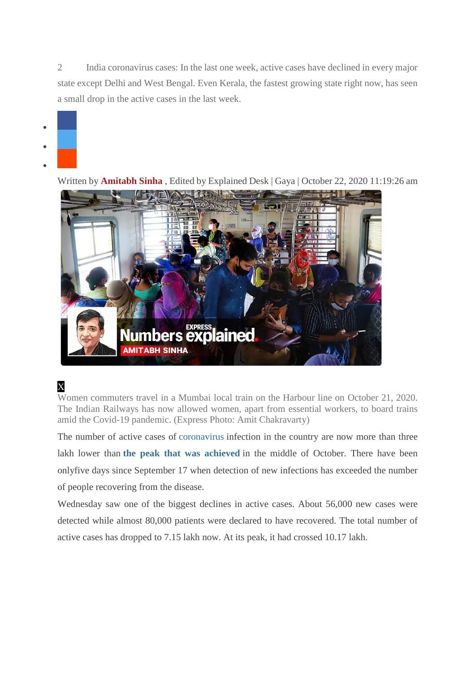2 India coronavirus cases: In the last one week, active cases have declined in every major state except Delhi and West Bengal. Even Kerala, the fastest growing state right now, has seen a small drop in the active cases in the last week.



Written by **Amitabh Sinha** , Edited by Explained Desk | Gaya | October 22, 2020 11:19:26 am



### X

Women commuters travel in a Mumbai local train on the Harbour line on October 21, 2020. The Indian Railways has now allowed women, apart from essential workers, to board trains amid the Covid-19 pandemic. (Express Photo: Amit Chakravarty)

The number of active cases of coronavirus infection in the country are now more than three lakh lower than **the peak that was achieved** in the middle of October. There have been onlyfive days since September 17 when detection of new infections has exceeded the number of people recovering from the disease.

Wednesday saw one of the biggest declines in active cases. About 56,000 new cases were detected while almost 80,000 patients were declared to have recovered. The total number of active cases has dropped to 7.15 lakh now. At its peak, it had crossed 10.17 lakh.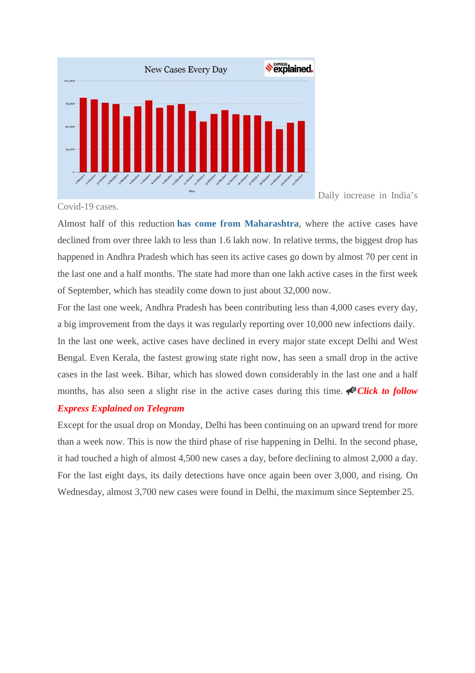

Daily increase in India's

Covid-19 cases.

Almost half of this reduction **has come from Maharashtra**, where the active cases have declined from over three lakh to less than 1.6 lakh now. In relative terms, the biggest drop has happened in Andhra Pradesh which has seen its active cases go down by almost 70 per cent in the last one and a half months. The state had more than one lakh active cases in the first week of September, which has steadily come down to just about 32,000 now.

For the last one week, Andhra Pradesh has been contributing less than 4,000 cases every day, a big improvement from the days it was regularly reporting over 10,000 new infections daily.

In the last one week, active cases have declined in every major state except Delhi and West Bengal. Even Kerala, the fastest growing state right now, has seen a small drop in the active cases in the last week. Bihar, which has slowed down considerably in the last one and a half months, has also seen a slight rise in the active cases during this time.  $\triangle$  Click to follow

#### *Express Explained on Telegram*

Except for the usual drop on Monday, Delhi has been continuing on an upward trend for more than a week now. This is now the third phase of rise happening in Delhi. In the second phase, it had touched a high of almost 4,500 new cases a day, before declining to almost 2,000 a day. For the last eight days, its daily detections have once again been over 3,000, and rising. On Wednesday, almost 3,700 new cases were found in Delhi, the maximum since September 25.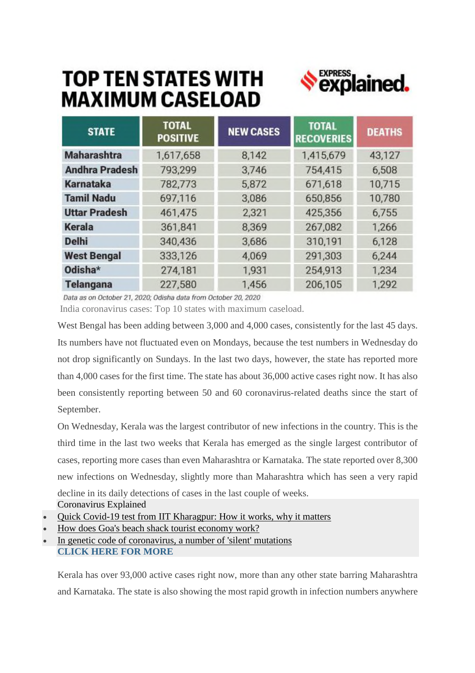## **TOP TEN STATES WITH MAXIMUM CASELOAD**



| <b>STATE</b>          | <b>TOTAL</b><br><b>POSITIVE</b> | <b>NEW CASES</b> | <b>TOTAL</b><br><b>RECOVERIES</b> | <b>DEATHS</b> |
|-----------------------|---------------------------------|------------------|-----------------------------------|---------------|
| <b>Maharashtra</b>    | 1,617,658                       | 8,142            | 1,415,679                         | 43,127        |
| <b>Andhra Pradesh</b> | 793,299                         | 3,746            | 754,415                           | 6,508         |
| <b>Karnataka</b>      | 782,773                         | 5,872            | 671,618                           | 10,715        |
| <b>Tamil Nadu</b>     | 697,116                         | 3,086            | 650,856                           | 10,780        |
| <b>Uttar Pradesh</b>  | 461,475                         | 2,321            | 425,356                           | 6,755         |
| Kerala                | 361,841                         | 8,369            | 267,082                           | 1,266         |
| <b>Delhi</b>          | 340,436                         | 3,686            | 310,191                           | 6,128         |
| <b>West Bengal</b>    | 333,126                         | 4,069            | 291,303                           | 6,244         |
| Odisha*               | 274,181                         | 1,931            | 254,913                           | 1,234         |
| <b>Telangana</b>      | 227,580                         | 1,456            | 206,105                           | 1,292         |

Data as on October 21, 2020; Odisha data from October 20, 2020

India coronavirus cases: Top 10 states with maximum caseload.

West Bengal has been adding between 3,000 and 4,000 cases, consistently for the last 45 days. Its numbers have not fluctuated even on Mondays, because the test numbers in Wednesday do not drop significantly on Sundays. In the last two days, however, the state has reported more than 4,000 cases for the first time. The state has about 36,000 active cases right now. It has also been consistently reporting between 50 and 60 coronavirus-related deaths since the start of September.

On Wednesday, Kerala was the largest contributor of new infections in the country. This is the third time in the last two weeks that Kerala has emerged as the single largest contributor of cases, reporting more cases than even Maharashtra or Karnataka. The state reported over 8,300 new infections on Wednesday, slightly more than Maharashtra which has seen a very rapid decline in its daily detections of cases in the last couple of weeks. Coronavirus Explained

- Quick Covid-19 test from IIT Kharagpur: How it works, why it matters
- How does Goa's beach shack tourist economy work?
- In genetic code of coronavirus, a number of 'silent' mutations **CLICK HERE FOR MORE**

Kerala has over 93,000 active cases right now, more than any other state barring Maharashtra and Karnataka. The state is also showing the most rapid growth in infection numbers anywhere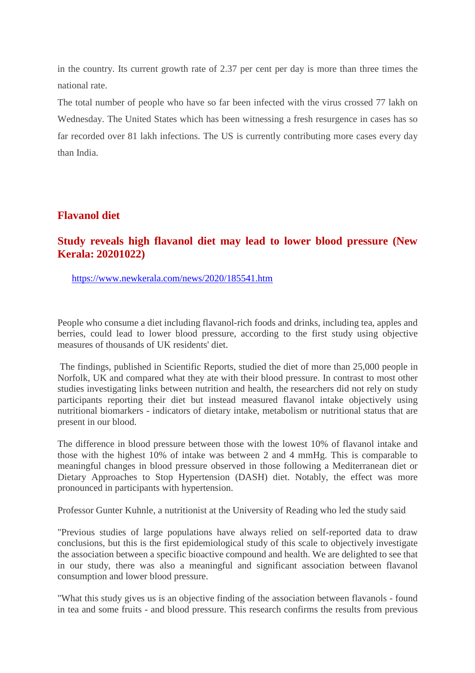in the country. Its current growth rate of 2.37 per cent per day is more than three times the national rate.

The total number of people who have so far been infected with the virus crossed 77 lakh on Wednesday. The United States which has been witnessing a fresh resurgence in cases has so far recorded over 81 lakh infections. The US is currently contributing more cases every day than India.

#### **Flavanol diet**

#### **Study reveals high flavanol diet may lead to lower blood pressure (New Kerala: 20201022)**

https://www.newkerala.com/news/2020/185541.htm

People who consume a diet including flavanol-rich foods and drinks, including tea, apples and berries, could lead to lower blood pressure, according to the first study using objective measures of thousands of UK residents' diet.

The findings, published in Scientific Reports, studied the diet of more than 25,000 people in Norfolk, UK and compared what they ate with their blood pressure. In contrast to most other studies investigating links between nutrition and health, the researchers did not rely on study participants reporting their diet but instead measured flavanol intake objectively using nutritional biomarkers - indicators of dietary intake, metabolism or nutritional status that are present in our blood.

The difference in blood pressure between those with the lowest 10% of flavanol intake and those with the highest 10% of intake was between 2 and 4 mmHg. This is comparable to meaningful changes in blood pressure observed in those following a Mediterranean diet or Dietary Approaches to Stop Hypertension (DASH) diet. Notably, the effect was more pronounced in participants with hypertension.

Professor Gunter Kuhnle, a nutritionist at the University of Reading who led the study said

"Previous studies of large populations have always relied on self-reported data to draw conclusions, but this is the first epidemiological study of this scale to objectively investigate the association between a specific bioactive compound and health. We are delighted to see that in our study, there was also a meaningful and significant association between flavanol consumption and lower blood pressure.

"What this study gives us is an objective finding of the association between flavanols - found in tea and some fruits - and blood pressure. This research confirms the results from previous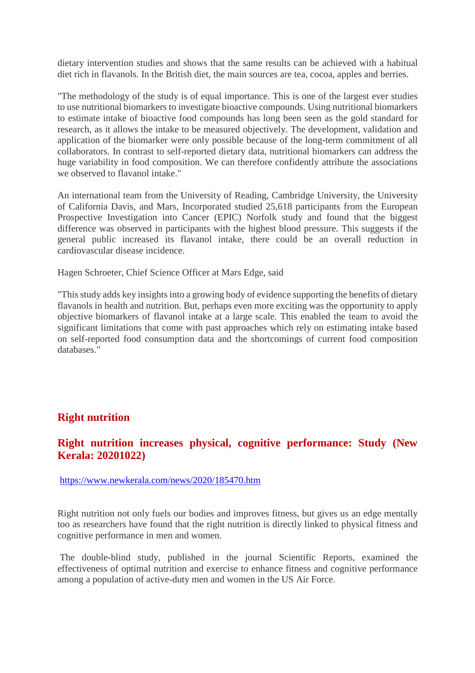dietary intervention studies and shows that the same results can be achieved with a habitual diet rich in flavanols. In the British diet, the main sources are tea, cocoa, apples and berries.

"The methodology of the study is of equal importance. This is one of the largest ever studies to use nutritional biomarkers to investigate bioactive compounds. Using nutritional biomarkers to estimate intake of bioactive food compounds has long been seen as the gold standard for research, as it allows the intake to be measured objectively. The development, validation and application of the biomarker were only possible because of the long-term commitment of all collaborators. In contrast to self-reported dietary data, nutritional biomarkers can address the huge variability in food composition. We can therefore confidently attribute the associations we observed to flavanol intake."

An international team from the University of Reading, Cambridge University, the University of California Davis, and Mars, Incorporated studied 25,618 participants from the European Prospective Investigation into Cancer (EPIC) Norfolk study and found that the biggest difference was observed in participants with the highest blood pressure. This suggests if the general public increased its flavanol intake, there could be an overall reduction in cardiovascular disease incidence.

Hagen Schroeter, Chief Science Officer at Mars Edge, said

"This study adds key insights into a growing body of evidence supporting the benefits of dietary flavanols in health and nutrition. But, perhaps even more exciting was the opportunity to apply objective biomarkers of flavanol intake at a large scale. This enabled the team to avoid the significant limitations that come with past approaches which rely on estimating intake based on self-reported food consumption data and the shortcomings of current food composition databases."

#### **Right nutrition**

#### **Right nutrition increases physical, cognitive performance: Study (New Kerala: 20201022)**

https://www.newkerala.com/news/2020/185470.htm

Right nutrition not only fuels our bodies and improves fitness, but gives us an edge mentally too as researchers have found that the right nutrition is directly linked to physical fitness and cognitive performance in men and women.

The double-blind study, published in the journal Scientific Reports, examined the effectiveness of optimal nutrition and exercise to enhance fitness and cognitive performance among a population of active-duty men and women in the US Air Force.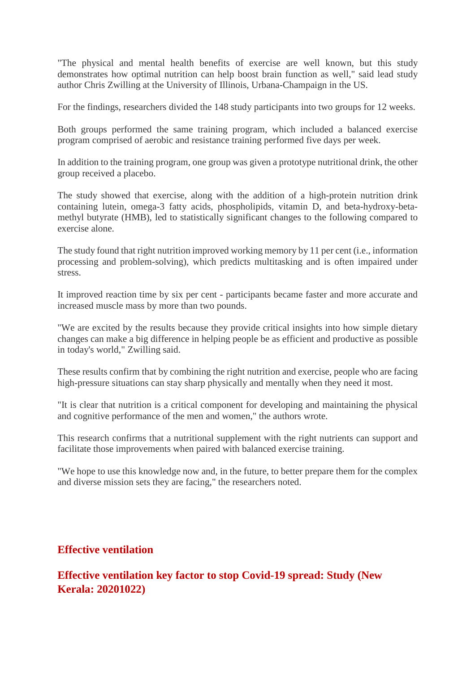"The physical and mental health benefits of exercise are well known, but this study demonstrates how optimal nutrition can help boost brain function as well," said lead study author Chris Zwilling at the University of Illinois, Urbana-Champaign in the US.

For the findings, researchers divided the 148 study participants into two groups for 12 weeks.

Both groups performed the same training program, which included a balanced exercise program comprised of aerobic and resistance training performed five days per week.

In addition to the training program, one group was given a prototype nutritional drink, the other group received a placebo.

The study showed that exercise, along with the addition of a high-protein nutrition drink containing lutein, omega-3 fatty acids, phospholipids, vitamin D, and beta-hydroxy-betamethyl butyrate (HMB), led to statistically significant changes to the following compared to exercise alone.

The study found that right nutrition improved working memory by 11 per cent (i.e., information processing and problem-solving), which predicts multitasking and is often impaired under stress.

It improved reaction time by six per cent - participants became faster and more accurate and increased muscle mass by more than two pounds.

"We are excited by the results because they provide critical insights into how simple dietary changes can make a big difference in helping people be as efficient and productive as possible in today's world," Zwilling said.

These results confirm that by combining the right nutrition and exercise, people who are facing high-pressure situations can stay sharp physically and mentally when they need it most.

"It is clear that nutrition is a critical component for developing and maintaining the physical and cognitive performance of the men and women," the authors wrote.

This research confirms that a nutritional supplement with the right nutrients can support and facilitate those improvements when paired with balanced exercise training.

"We hope to use this knowledge now and, in the future, to better prepare them for the complex and diverse mission sets they are facing," the researchers noted.

#### **Effective ventilation**

#### **Effective ventilation key factor to stop Covid-19 spread: Study (New Kerala: 20201022)**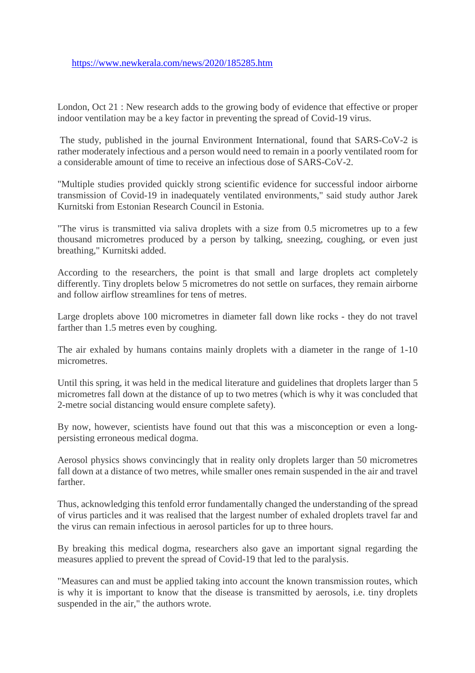https://www.newkerala.com/news/2020/185285.htm

London, Oct 21 : New research adds to the growing body of evidence that effective or proper indoor ventilation may be a key factor in preventing the spread of Covid-19 virus.

The study, published in the journal Environment International, found that SARS-CoV-2 is rather moderately infectious and a person would need to remain in a poorly ventilated room for a considerable amount of time to receive an infectious dose of SARS-CoV-2.

"Multiple studies provided quickly strong scientific evidence for successful indoor airborne transmission of Covid-19 in inadequately ventilated environments," said study author Jarek Kurnitski from Estonian Research Council in Estonia.

"The virus is transmitted via saliva droplets with a size from 0.5 micrometres up to a few thousand micrometres produced by a person by talking, sneezing, coughing, or even just breathing," Kurnitski added.

According to the researchers, the point is that small and large droplets act completely differently. Tiny droplets below 5 micrometres do not settle on surfaces, they remain airborne and follow airflow streamlines for tens of metres.

Large droplets above 100 micrometres in diameter fall down like rocks - they do not travel farther than 1.5 metres even by coughing.

The air exhaled by humans contains mainly droplets with a diameter in the range of 1-10 micrometres.

Until this spring, it was held in the medical literature and guidelines that droplets larger than 5 micrometres fall down at the distance of up to two metres (which is why it was concluded that 2-metre social distancing would ensure complete safety).

By now, however, scientists have found out that this was a misconception or even a longpersisting erroneous medical dogma.

Aerosol physics shows convincingly that in reality only droplets larger than 50 micrometres fall down at a distance of two metres, while smaller ones remain suspended in the air and travel farther.

Thus, acknowledging this tenfold error fundamentally changed the understanding of the spread of virus particles and it was realised that the largest number of exhaled droplets travel far and the virus can remain infectious in aerosol particles for up to three hours.

By breaking this medical dogma, researchers also gave an important signal regarding the measures applied to prevent the spread of Covid-19 that led to the paralysis.

"Measures can and must be applied taking into account the known transmission routes, which is why it is important to know that the disease is transmitted by aerosols, i.e. tiny droplets suspended in the air," the authors wrote.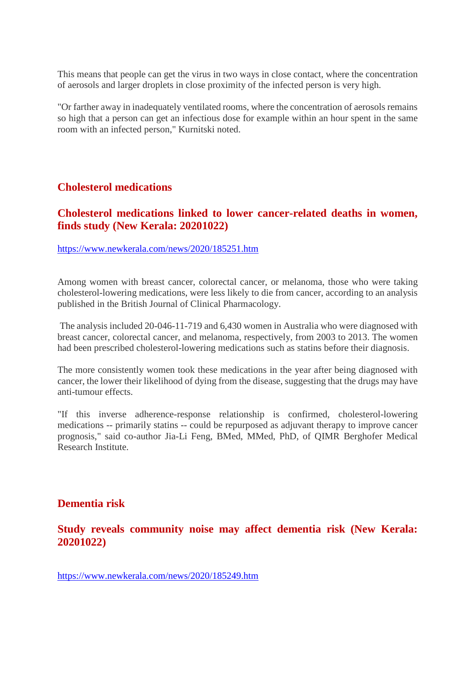This means that people can get the virus in two ways in close contact, where the concentration of aerosols and larger droplets in close proximity of the infected person is very high.

"Or farther away in inadequately ventilated rooms, where the concentration of aerosols remains so high that a person can get an infectious dose for example within an hour spent in the same room with an infected person," Kurnitski noted.

#### **Cholesterol medications**

#### **Cholesterol medications linked to lower cancer-related deaths in women, finds study (New Kerala: 20201022)**

#### https://www.newkerala.com/news/2020/185251.htm

Among women with breast cancer, colorectal cancer, or melanoma, those who were taking cholesterol-lowering medications, were less likely to die from cancer, according to an analysis published in the British Journal of Clinical Pharmacology.

The analysis included 20-046-11-719 and 6,430 women in Australia who were diagnosed with breast cancer, colorectal cancer, and melanoma, respectively, from 2003 to 2013. The women had been prescribed cholesterol-lowering medications such as statins before their diagnosis.

The more consistently women took these medications in the year after being diagnosed with cancer, the lower their likelihood of dying from the disease, suggesting that the drugs may have anti-tumour effects.

"If this inverse adherence-response relationship is confirmed, cholesterol-lowering medications -- primarily statins -- could be repurposed as adjuvant therapy to improve cancer prognosis," said co-author Jia-Li Feng, BMed, MMed, PhD, of QIMR Berghofer Medical Research Institute.

#### **Dementia risk**

**Study reveals community noise may affect dementia risk (New Kerala: 20201022)**

https://www.newkerala.com/news/2020/185249.htm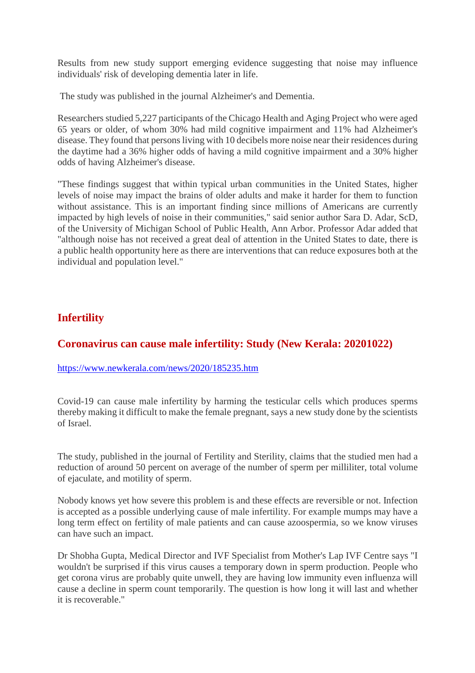Results from new study support emerging evidence suggesting that noise may influence individuals' risk of developing dementia later in life.

The study was published in the journal Alzheimer's and Dementia.

Researchers studied 5,227 participants of the Chicago Health and Aging Project who were aged 65 years or older, of whom 30% had mild cognitive impairment and 11% had Alzheimer's disease. They found that persons living with 10 decibels more noise near their residences during the daytime had a 36% higher odds of having a mild cognitive impairment and a 30% higher odds of having Alzheimer's disease.

"These findings suggest that within typical urban communities in the United States, higher levels of noise may impact the brains of older adults and make it harder for them to function without assistance. This is an important finding since millions of Americans are currently impacted by high levels of noise in their communities," said senior author Sara D. Adar, ScD, of the University of Michigan School of Public Health, Ann Arbor. Professor Adar added that "although noise has not received a great deal of attention in the United States to date, there is a public health opportunity here as there are interventions that can reduce exposures both at the individual and population level."

#### **Infertility**

#### **Coronavirus can cause male infertility: Study (New Kerala: 20201022)**

https://www.newkerala.com/news/2020/185235.htm

Covid-19 can cause male infertility by harming the testicular cells which produces sperms thereby making it difficult to make the female pregnant, says a new study done by the scientists of Israel.

The study, published in the journal of Fertility and Sterility, claims that the studied men had a reduction of around 50 percent on average of the number of sperm per milliliter, total volume of ejaculate, and motility of sperm.

Nobody knows yet how severe this problem is and these effects are reversible or not. Infection is accepted as a possible underlying cause of male infertility. For example mumps may have a long term effect on fertility of male patients and can cause azoospermia, so we know viruses can have such an impact.

Dr Shobha Gupta, Medical Director and IVF Specialist from Mother's Lap IVF Centre says "I wouldn't be surprised if this virus causes a temporary down in sperm production. People who get corona virus are probably quite unwell, they are having low immunity even influenza will cause a decline in sperm count temporarily. The question is how long it will last and whether it is recoverable."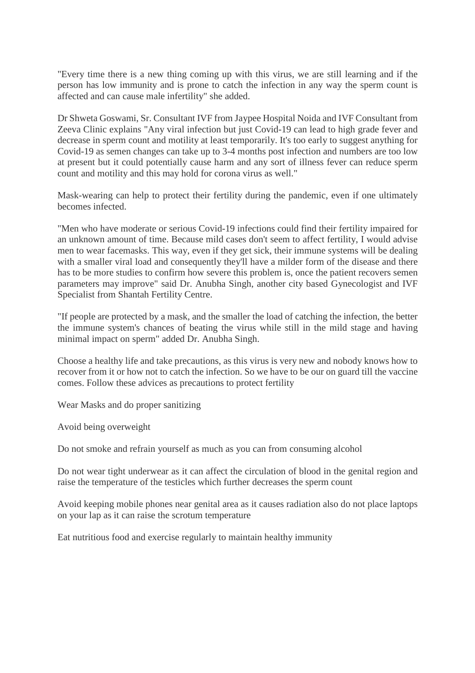"Every time there is a new thing coming up with this virus, we are still learning and if the person has low immunity and is prone to catch the infection in any way the sperm count is affected and can cause male infertility" she added.

Dr Shweta Goswami, Sr. Consultant IVF from Jaypee Hospital Noida and IVF Consultant from Zeeva Clinic explains "Any viral infection but just Covid-19 can lead to high grade fever and decrease in sperm count and motility at least temporarily. It's too early to suggest anything for Covid-19 as semen changes can take up to 3-4 months post infection and numbers are too low at present but it could potentially cause harm and any sort of illness fever can reduce sperm count and motility and this may hold for corona virus as well."

Mask-wearing can help to protect their fertility during the pandemic, even if one ultimately becomes infected.

"Men who have moderate or serious Covid-19 infections could find their fertility impaired for an unknown amount of time. Because mild cases don't seem to affect fertility, I would advise men to wear facemasks. This way, even if they get sick, their immune systems will be dealing with a smaller viral load and consequently they'll have a milder form of the disease and there has to be more studies to confirm how severe this problem is, once the patient recovers semen parameters may improve" said Dr. Anubha Singh, another city based Gynecologist and IVF Specialist from Shantah Fertility Centre.

"If people are protected by a mask, and the smaller the load of catching the infection, the better the immune system's chances of beating the virus while still in the mild stage and having minimal impact on sperm" added Dr. Anubha Singh.

Choose a healthy life and take precautions, as this virus is very new and nobody knows how to recover from it or how not to catch the infection. So we have to be our on guard till the vaccine comes. Follow these advices as precautions to protect fertility

Wear Masks and do proper sanitizing

Avoid being overweight

Do not smoke and refrain yourself as much as you can from consuming alcohol

Do not wear tight underwear as it can affect the circulation of blood in the genital region and raise the temperature of the testicles which further decreases the sperm count

Avoid keeping mobile phones near genital area as it causes radiation also do not place laptops on your lap as it can raise the scrotum temperature

Eat nutritious food and exercise regularly to maintain healthy immunity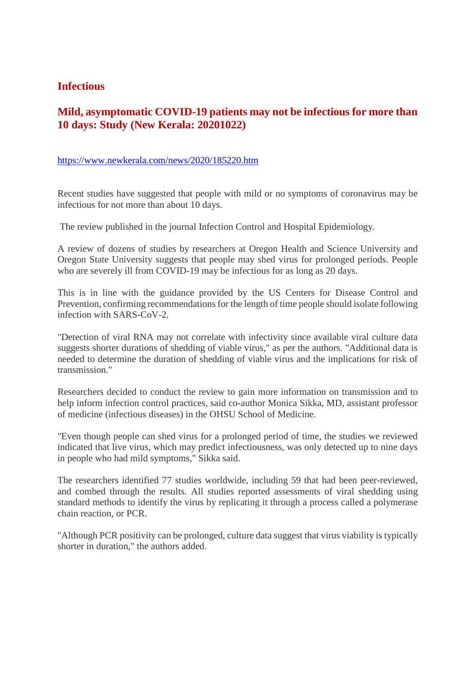#### **Infectious**

#### **Mild, asymptomatic COVID-19 patients may not be infectious for more than 10 days: Study (New Kerala: 20201022)**

#### https://www.newkerala.com/news/2020/185220.htm

Recent studies have suggested that people with mild or no symptoms of coronavirus may be infectious for not more than about 10 days.

The review published in the journal Infection Control and Hospital Epidemiology.

A review of dozens of studies by researchers at Oregon Health and Science University and Oregon State University suggests that people may shed virus for prolonged periods. People who are severely ill from COVID-19 may be infectious for as long as 20 days.

This is in line with the guidance provided by the US Centers for Disease Control and Prevention, confirming recommendations for the length of time people should isolate following infection with SARS-CoV-2.

"Detection of viral RNA may not correlate with infectivity since available viral culture data suggests shorter durations of shedding of viable virus," as per the authors. "Additional data is needed to determine the duration of shedding of viable virus and the implications for risk of transmission."

Researchers decided to conduct the review to gain more information on transmission and to help inform infection control practices, said co-author Monica Sikka, MD, assistant professor of medicine (infectious diseases) in the OHSU School of Medicine.

"Even though people can shed virus for a prolonged period of time, the studies we reviewed indicated that live virus, which may predict infectiousness, was only detected up to nine days in people who had mild symptoms," Sikka said.

The researchers identified 77 studies worldwide, including 59 that had been peer-reviewed, and combed through the results. All studies reported assessments of viral shedding using standard methods to identify the virus by replicating it through a process called a polymerase chain reaction, or PCR.

"Although PCR positivity can be prolonged, culture data suggest that virus viability is typically shorter in duration," the authors added.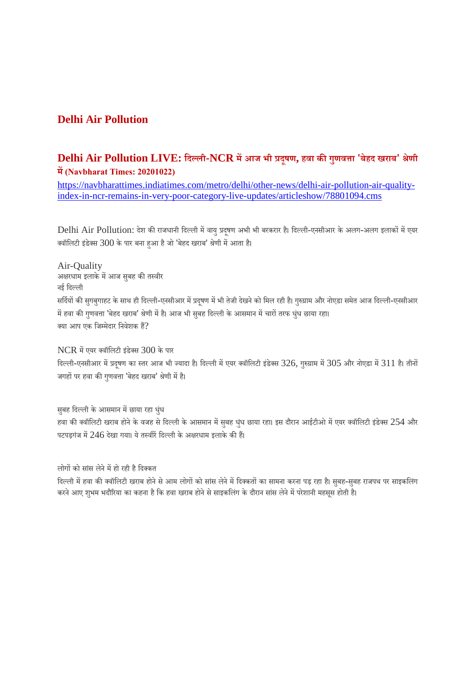#### **Delhi Air Pollution**

#### **Delhi Air Pollution LIVE: िदली-NCR मआज भी दूषण, हवा कगुणवा 'बेहद खराब' ेणी म(Navbharat Times: 20201022)**

https://navbharattimes.indiatimes.com/metro/delhi/other-news/delhi-air-pollution-air-qualityindex-in-ncr-remains-in-very-poor-category-live-updates/articleshow/78801094.cms

Delhi Air Pollution: देश की राजधानी दिल्ली में वायु प्रदूषण अभी भी बरकरार है। दिल्ली-एनसीआर के अलग-अलग इलाकों में एयर क्वॉलिटी इंडेक्स  $300$  के पार बना हुआ है जो 'बेहद खराब' श्रेणी में आता है।

Air-Quality अक्षरधाम इलाके में आज सुबह की तस्वीर नई िदली सर्दियों की सुगबुगाहट के साथ ही दिल्ली-एनसीआर में प्रदूषण में भी तेजी देखने को मिल रही है। गुरुग्राम और नोएडा समेत आज दिल्ली-एनसीआर में हवा की गुणवत्ता 'बेहद खराब' श्रेणी में है। आज भी सुबह दिल्ली के आसमान में चारों तरफ धुंध छाया रहा। क्या आप एक जिम्मेदार निवेशक हैं?

#### $NCR$  में एयर क्वॉलिटी इंडेक्स  $300$  के पार

दिल्ली-एनसीआर में प्रदूषण का स्तर आज भी ज्यादा है। दिल्ली में एयर क्वॉलिटी इंडेक्स 326, गुरुग्राम में 305 और नोएडा में 311 है। तीनों जगहों पर हवा की गुणवत्ता 'बेहद खराब' श्रेणी में है।

सुबह दिल्ली के आसमान में छाया रहा धुंध

हवा की क्वॉलिटी खराब होने के वजह से दिल्ली के आसमान में सुबह धुंध छाया रहा। इस दौरान आईटीओ में एयर क्वॉलिटी इंडेक्स 254 और पटपड़गंज में  $246$  देखा गया। ये तस्वीरें दिल्ली के अक्षरधाम इलाके की हैं।

लोगों को सांस लेने में हो रही है दिक्कत

दिल्ली में हवा की क्वॉलिटी खराब होने से आम लोगों को सांस लेने में दिक्कतों का सामना करना पड़ रहा है। सुबह-सुबह राजपथ पर साइकलिंग करने आए शुभम भदौरिया का कहना है कि हवा खराब होने से साइकलिंग के दौरान सांस लेने में परेशानी महसूस होती है।